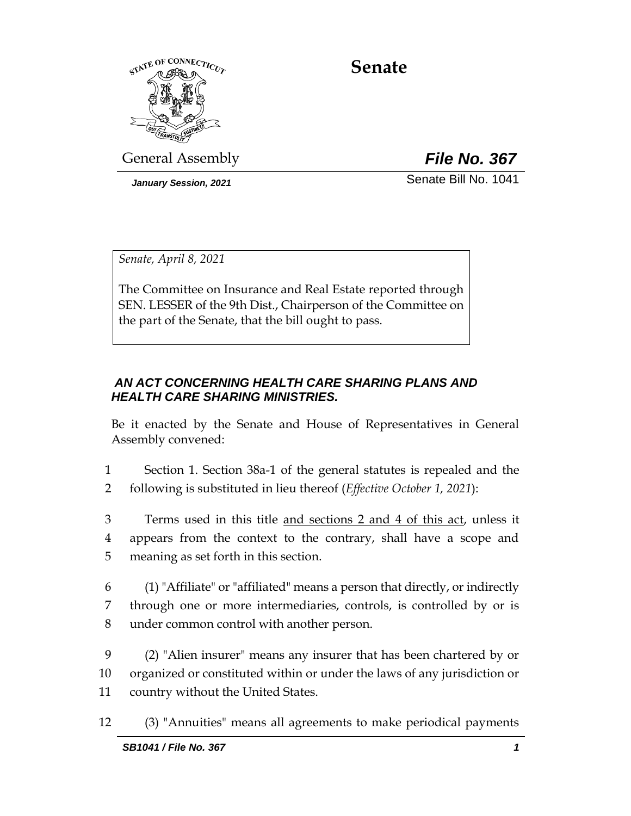

# **Senate**

General Assembly *File No. 367*

*January Session, 2021* Senate Bill No. 1041

*Senate, April 8, 2021*

The Committee on Insurance and Real Estate reported through SEN. LESSER of the 9th Dist., Chairperson of the Committee on the part of the Senate, that the bill ought to pass.

# *AN ACT CONCERNING HEALTH CARE SHARING PLANS AND HEALTH CARE SHARING MINISTRIES.*

Be it enacted by the Senate and House of Representatives in General Assembly convened:

1 Section 1. Section 38a-1 of the general statutes is repealed and the 2 following is substituted in lieu thereof (*Effective October 1, 2021*):

3 Terms used in this title and sections 2 and 4 of this act, unless it 4 appears from the context to the contrary, shall have a scope and 5 meaning as set forth in this section.

6 (1) "Affiliate" or "affiliated" means a person that directly, or indirectly 7 through one or more intermediaries, controls, is controlled by or is 8 under common control with another person.

9 (2) "Alien insurer" means any insurer that has been chartered by or 10 organized or constituted within or under the laws of any jurisdiction or 11 country without the United States.

12 (3) "Annuities" means all agreements to make periodical payments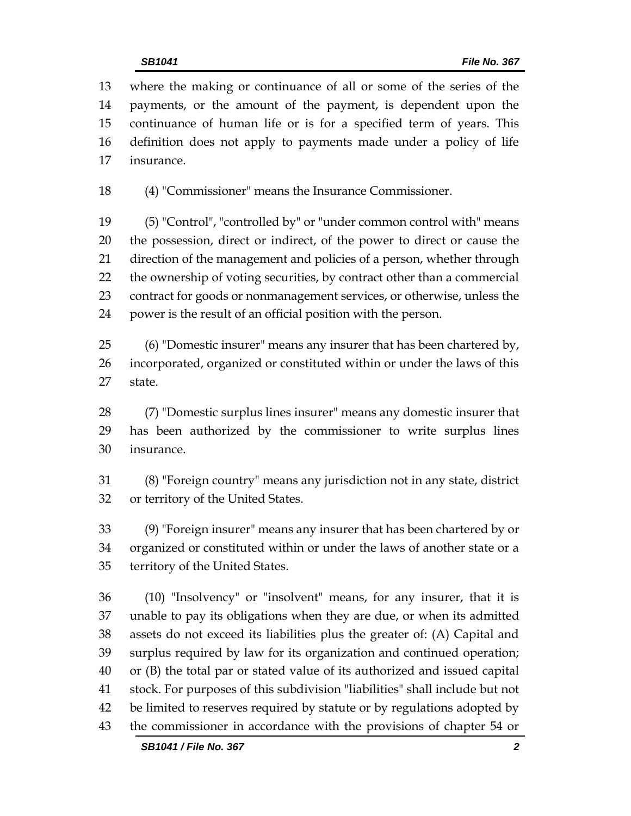where the making or continuance of all or some of the series of the payments, or the amount of the payment, is dependent upon the continuance of human life or is for a specified term of years. This definition does not apply to payments made under a policy of life insurance.

(4) "Commissioner" means the Insurance Commissioner.

 (5) "Control", "controlled by" or "under common control with" means the possession, direct or indirect, of the power to direct or cause the direction of the management and policies of a person, whether through the ownership of voting securities, by contract other than a commercial 23 contract for goods or nonmanagement services, or otherwise, unless the power is the result of an official position with the person.

 (6) "Domestic insurer" means any insurer that has been chartered by, incorporated, organized or constituted within or under the laws of this state.

 (7) "Domestic surplus lines insurer" means any domestic insurer that has been authorized by the commissioner to write surplus lines insurance.

 (8) "Foreign country" means any jurisdiction not in any state, district or territory of the United States.

 (9) "Foreign insurer" means any insurer that has been chartered by or organized or constituted within or under the laws of another state or a territory of the United States.

 (10) "Insolvency" or "insolvent" means, for any insurer, that it is unable to pay its obligations when they are due, or when its admitted assets do not exceed its liabilities plus the greater of: (A) Capital and surplus required by law for its organization and continued operation; or (B) the total par or stated value of its authorized and issued capital stock. For purposes of this subdivision "liabilities" shall include but not be limited to reserves required by statute or by regulations adopted by the commissioner in accordance with the provisions of chapter 54 or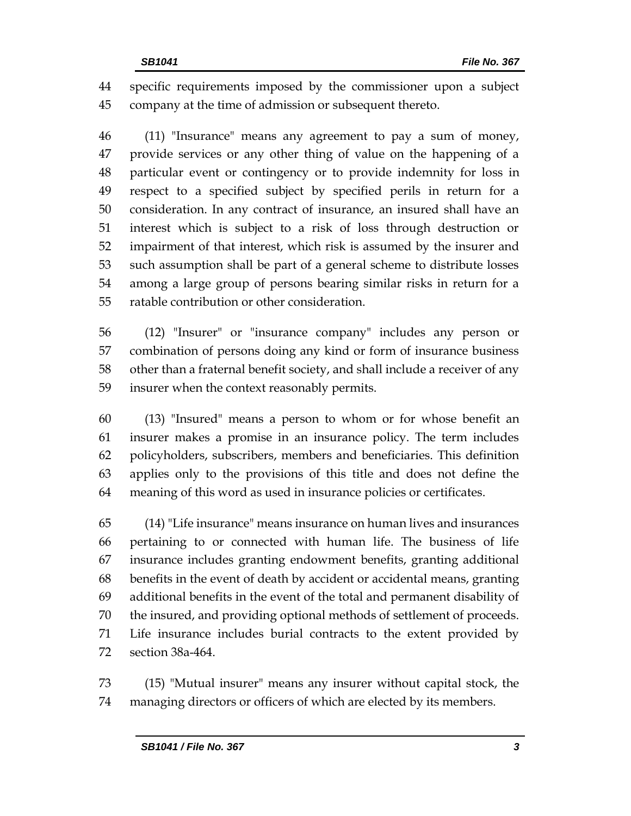specific requirements imposed by the commissioner upon a subject company at the time of admission or subsequent thereto.

 (11) "Insurance" means any agreement to pay a sum of money, provide services or any other thing of value on the happening of a particular event or contingency or to provide indemnity for loss in respect to a specified subject by specified perils in return for a consideration. In any contract of insurance, an insured shall have an interest which is subject to a risk of loss through destruction or impairment of that interest, which risk is assumed by the insurer and such assumption shall be part of a general scheme to distribute losses among a large group of persons bearing similar risks in return for a ratable contribution or other consideration.

 (12) "Insurer" or "insurance company" includes any person or combination of persons doing any kind or form of insurance business other than a fraternal benefit society, and shall include a receiver of any insurer when the context reasonably permits.

 (13) "Insured" means a person to whom or for whose benefit an insurer makes a promise in an insurance policy. The term includes policyholders, subscribers, members and beneficiaries. This definition applies only to the provisions of this title and does not define the meaning of this word as used in insurance policies or certificates.

 (14) "Life insurance" means insurance on human lives and insurances pertaining to or connected with human life. The business of life insurance includes granting endowment benefits, granting additional benefits in the event of death by accident or accidental means, granting additional benefits in the event of the total and permanent disability of the insured, and providing optional methods of settlement of proceeds. Life insurance includes burial contracts to the extent provided by section 38a-464.

 (15) "Mutual insurer" means any insurer without capital stock, the managing directors or officers of which are elected by its members.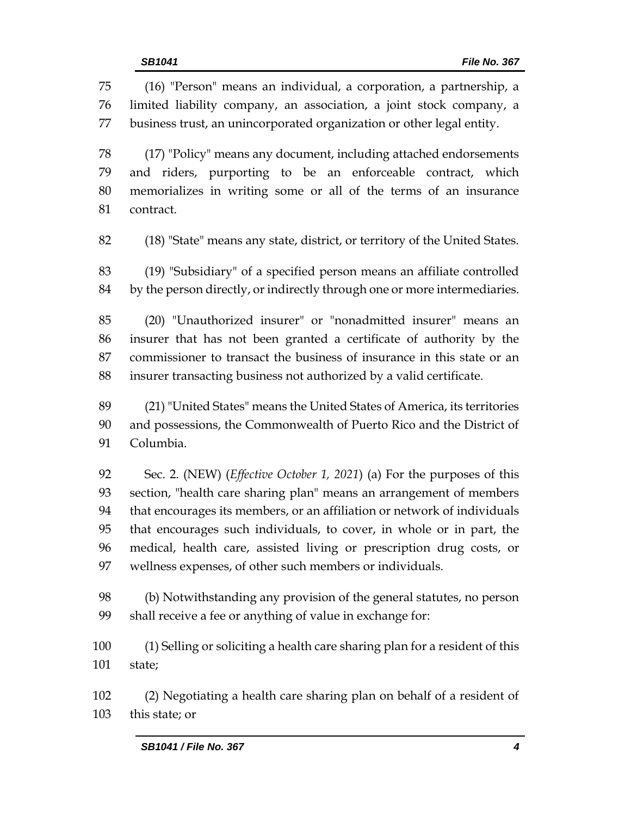(16) "Person" means an individual, a corporation, a partnership, a limited liability company, an association, a joint stock company, a business trust, an unincorporated organization or other legal entity. (17) "Policy" means any document, including attached endorsements and riders, purporting to be an enforceable contract, which memorializes in writing some or all of the terms of an insurance contract. (18) "State" means any state, district, or territory of the United States. (19) "Subsidiary" of a specified person means an affiliate controlled by the person directly, or indirectly through one or more intermediaries. (20) "Unauthorized insurer" or "nonadmitted insurer" means an insurer that has not been granted a certificate of authority by the commissioner to transact the business of insurance in this state or an insurer transacting business not authorized by a valid certificate. (21) "United States" means the United States of America, its territories and possessions, the Commonwealth of Puerto Rico and the District of Columbia. Sec. 2. (NEW) (*Effective October 1, 2021*) (a) For the purposes of this section, "health care sharing plan" means an arrangement of members that encourages its members, or an affiliation or network of individuals that encourages such individuals, to cover, in whole or in part, the medical, health care, assisted living or prescription drug costs, or wellness expenses, of other such members or individuals.

 (b) Notwithstanding any provision of the general statutes, no person shall receive a fee or anything of value in exchange for:

 (1) Selling or soliciting a health care sharing plan for a resident of this state;

 (2) Negotiating a health care sharing plan on behalf of a resident of this state; or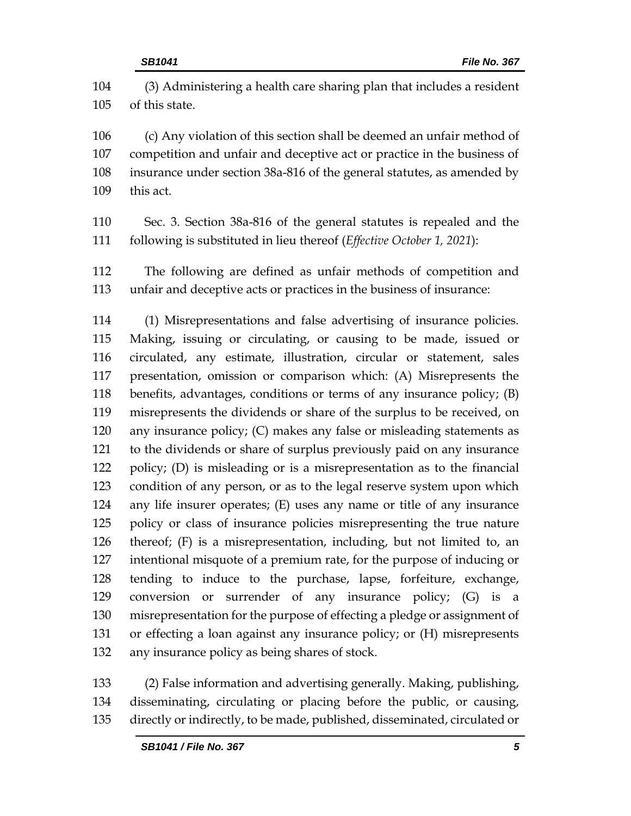(3) Administering a health care sharing plan that includes a resident of this state. (c) Any violation of this section shall be deemed an unfair method of competition and unfair and deceptive act or practice in the business of insurance under section 38a-816 of the general statutes, as amended by this act. Sec. 3. Section 38a-816 of the general statutes is repealed and the following is substituted in lieu thereof (*Effective October 1, 2021*): The following are defined as unfair methods of competition and unfair and deceptive acts or practices in the business of insurance: (1) Misrepresentations and false advertising of insurance policies. Making, issuing or circulating, or causing to be made, issued or circulated, any estimate, illustration, circular or statement, sales presentation, omission or comparison which: (A) Misrepresents the benefits, advantages, conditions or terms of any insurance policy; (B) misrepresents the dividends or share of the surplus to be received, on any insurance policy; (C) makes any false or misleading statements as to the dividends or share of surplus previously paid on any insurance policy; (D) is misleading or is a misrepresentation as to the financial condition of any person, or as to the legal reserve system upon which any life insurer operates; (E) uses any name or title of any insurance policy or class of insurance policies misrepresenting the true nature thereof; (F) is a misrepresentation, including, but not limited to, an intentional misquote of a premium rate, for the purpose of inducing or tending to induce to the purchase, lapse, forfeiture, exchange, conversion or surrender of any insurance policy; (G) is a misrepresentation for the purpose of effecting a pledge or assignment of or effecting a loan against any insurance policy; or (H) misrepresents any insurance policy as being shares of stock.

 (2) False information and advertising generally. Making, publishing, disseminating, circulating or placing before the public, or causing, directly or indirectly, to be made, published, disseminated, circulated or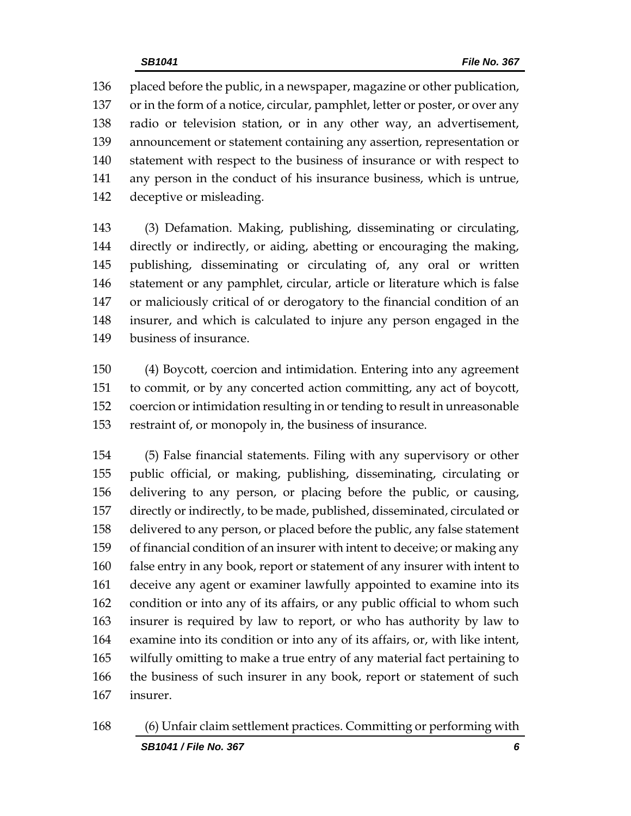136 placed before the public, in a newspaper, magazine or other publication, or in the form of a notice, circular, pamphlet, letter or poster, or over any radio or television station, or in any other way, an advertisement, announcement or statement containing any assertion, representation or statement with respect to the business of insurance or with respect to any person in the conduct of his insurance business, which is untrue, deceptive or misleading.

 (3) Defamation. Making, publishing, disseminating or circulating, directly or indirectly, or aiding, abetting or encouraging the making, publishing, disseminating or circulating of, any oral or written statement or any pamphlet, circular, article or literature which is false or maliciously critical of or derogatory to the financial condition of an insurer, and which is calculated to injure any person engaged in the business of insurance.

 (4) Boycott, coercion and intimidation. Entering into any agreement to commit, or by any concerted action committing, any act of boycott, coercion or intimidation resulting in or tending to result in unreasonable restraint of, or monopoly in, the business of insurance.

 (5) False financial statements. Filing with any supervisory or other public official, or making, publishing, disseminating, circulating or delivering to any person, or placing before the public, or causing, directly or indirectly, to be made, published, disseminated, circulated or delivered to any person, or placed before the public, any false statement of financial condition of an insurer with intent to deceive; or making any false entry in any book, report or statement of any insurer with intent to deceive any agent or examiner lawfully appointed to examine into its condition or into any of its affairs, or any public official to whom such insurer is required by law to report, or who has authority by law to examine into its condition or into any of its affairs, or, with like intent, wilfully omitting to make a true entry of any material fact pertaining to the business of such insurer in any book, report or statement of such insurer.

*SB1041 / File No. 367 6* (6) Unfair claim settlement practices. Committing or performing with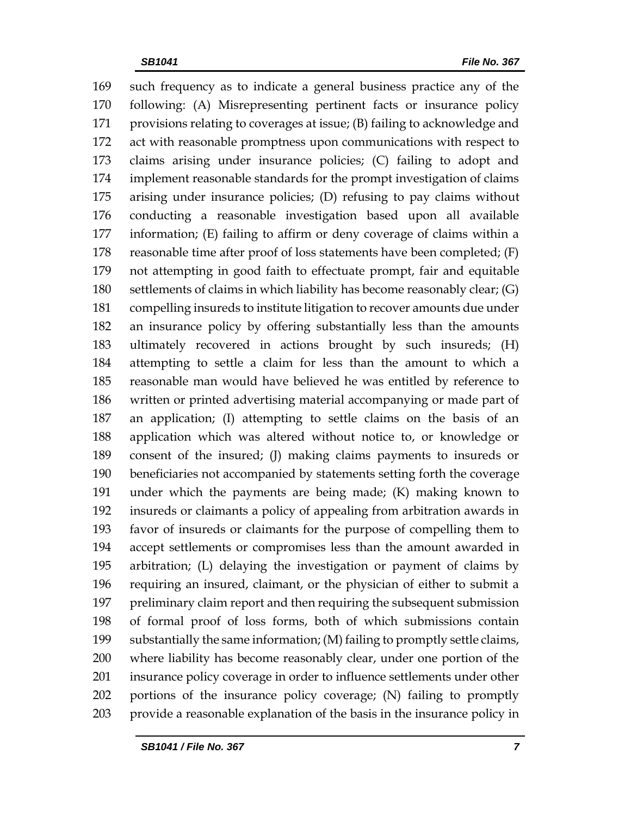such frequency as to indicate a general business practice any of the following: (A) Misrepresenting pertinent facts or insurance policy provisions relating to coverages at issue; (B) failing to acknowledge and act with reasonable promptness upon communications with respect to claims arising under insurance policies; (C) failing to adopt and implement reasonable standards for the prompt investigation of claims arising under insurance policies; (D) refusing to pay claims without conducting a reasonable investigation based upon all available information; (E) failing to affirm or deny coverage of claims within a reasonable time after proof of loss statements have been completed; (F) not attempting in good faith to effectuate prompt, fair and equitable settlements of claims in which liability has become reasonably clear; (G) compelling insureds to institute litigation to recover amounts due under an insurance policy by offering substantially less than the amounts ultimately recovered in actions brought by such insureds; (H) attempting to settle a claim for less than the amount to which a reasonable man would have believed he was entitled by reference to written or printed advertising material accompanying or made part of an application; (I) attempting to settle claims on the basis of an application which was altered without notice to, or knowledge or consent of the insured; (J) making claims payments to insureds or beneficiaries not accompanied by statements setting forth the coverage under which the payments are being made; (K) making known to insureds or claimants a policy of appealing from arbitration awards in favor of insureds or claimants for the purpose of compelling them to accept settlements or compromises less than the amount awarded in arbitration; (L) delaying the investigation or payment of claims by requiring an insured, claimant, or the physician of either to submit a preliminary claim report and then requiring the subsequent submission of formal proof of loss forms, both of which submissions contain substantially the same information; (M) failing to promptly settle claims, where liability has become reasonably clear, under one portion of the insurance policy coverage in order to influence settlements under other portions of the insurance policy coverage; (N) failing to promptly provide a reasonable explanation of the basis in the insurance policy in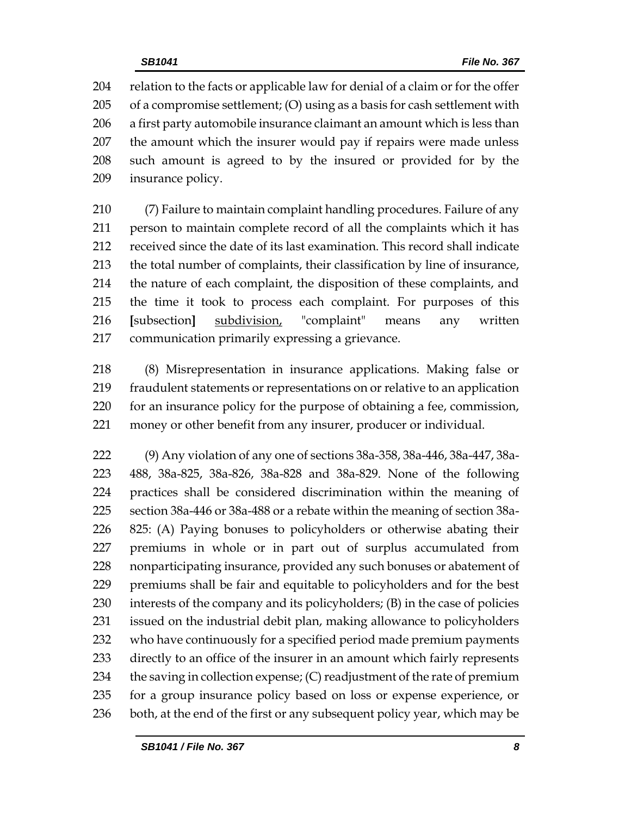relation to the facts or applicable law for denial of a claim or for the offer of a compromise settlement; (O) using as a basis for cash settlement with a first party automobile insurance claimant an amount which is less than the amount which the insurer would pay if repairs were made unless such amount is agreed to by the insured or provided for by the insurance policy.

 (7) Failure to maintain complaint handling procedures. Failure of any person to maintain complete record of all the complaints which it has received since the date of its last examination. This record shall indicate the total number of complaints, their classification by line of insurance, the nature of each complaint, the disposition of these complaints, and the time it took to process each complaint. For purposes of this **[**subsection**]** subdivision, "complaint" means any written communication primarily expressing a grievance.

 (8) Misrepresentation in insurance applications. Making false or fraudulent statements or representations on or relative to an application for an insurance policy for the purpose of obtaining a fee, commission, money or other benefit from any insurer, producer or individual.

 (9) Any violation of any one of sections 38a-358, 38a-446, 38a-447, 38a- 488, 38a-825, 38a-826, 38a-828 and 38a-829. None of the following practices shall be considered discrimination within the meaning of section 38a-446 or 38a-488 or a rebate within the meaning of section 38a- 825: (A) Paying bonuses to policyholders or otherwise abating their premiums in whole or in part out of surplus accumulated from nonparticipating insurance, provided any such bonuses or abatement of premiums shall be fair and equitable to policyholders and for the best interests of the company and its policyholders; (B) in the case of policies issued on the industrial debit plan, making allowance to policyholders who have continuously for a specified period made premium payments directly to an office of the insurer in an amount which fairly represents 234 the saving in collection expense; (C) readjustment of the rate of premium for a group insurance policy based on loss or expense experience, or 236 both, at the end of the first or any subsequent policy year, which may be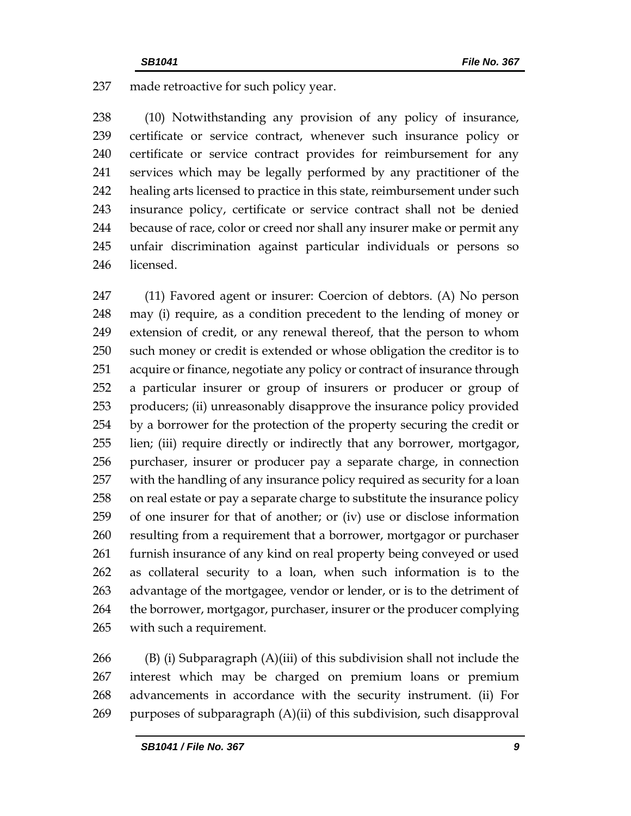237 made retroactive for such policy year.

 (10) Notwithstanding any provision of any policy of insurance, certificate or service contract, whenever such insurance policy or certificate or service contract provides for reimbursement for any services which may be legally performed by any practitioner of the healing arts licensed to practice in this state, reimbursement under such insurance policy, certificate or service contract shall not be denied because of race, color or creed nor shall any insurer make or permit any unfair discrimination against particular individuals or persons so licensed.

 (11) Favored agent or insurer: Coercion of debtors. (A) No person may (i) require, as a condition precedent to the lending of money or extension of credit, or any renewal thereof, that the person to whom such money or credit is extended or whose obligation the creditor is to acquire or finance, negotiate any policy or contract of insurance through a particular insurer or group of insurers or producer or group of producers; (ii) unreasonably disapprove the insurance policy provided by a borrower for the protection of the property securing the credit or lien; (iii) require directly or indirectly that any borrower, mortgagor, purchaser, insurer or producer pay a separate charge, in connection with the handling of any insurance policy required as security for a loan on real estate or pay a separate charge to substitute the insurance policy of one insurer for that of another; or (iv) use or disclose information resulting from a requirement that a borrower, mortgagor or purchaser furnish insurance of any kind on real property being conveyed or used as collateral security to a loan, when such information is to the advantage of the mortgagee, vendor or lender, or is to the detriment of the borrower, mortgagor, purchaser, insurer or the producer complying with such a requirement.

266 (B) (i) Subparagraph  $(A)$ (iii) of this subdivision shall not include the interest which may be charged on premium loans or premium advancements in accordance with the security instrument. (ii) For 269 purposes of subparagraph  $(A)(ii)$  of this subdivision, such disapproval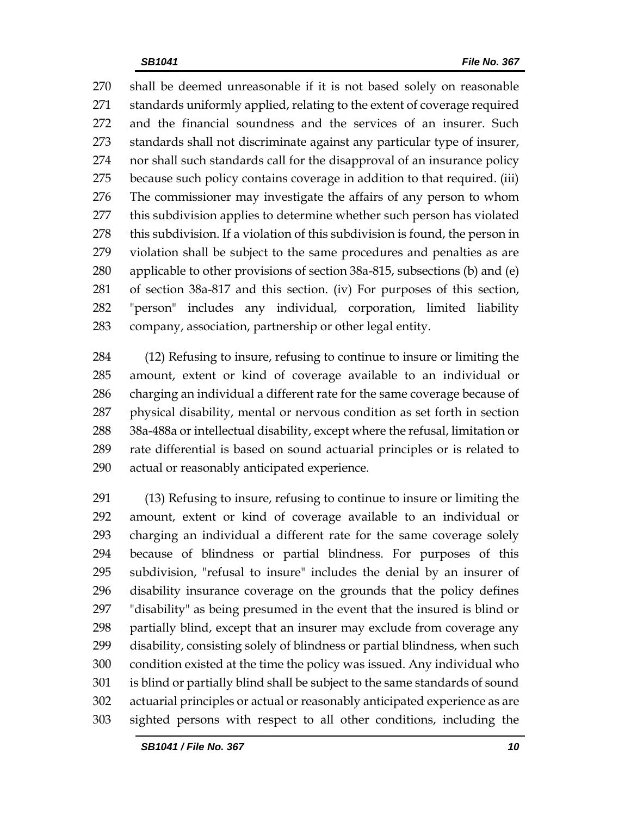shall be deemed unreasonable if it is not based solely on reasonable standards uniformly applied, relating to the extent of coverage required and the financial soundness and the services of an insurer. Such standards shall not discriminate against any particular type of insurer, nor shall such standards call for the disapproval of an insurance policy because such policy contains coverage in addition to that required. (iii) The commissioner may investigate the affairs of any person to whom this subdivision applies to determine whether such person has violated this subdivision. If a violation of this subdivision is found, the person in violation shall be subject to the same procedures and penalties as are applicable to other provisions of section 38a-815, subsections (b) and (e) of section 38a-817 and this section. (iv) For purposes of this section, "person" includes any individual, corporation, limited liability company, association, partnership or other legal entity.

 (12) Refusing to insure, refusing to continue to insure or limiting the amount, extent or kind of coverage available to an individual or charging an individual a different rate for the same coverage because of physical disability, mental or nervous condition as set forth in section 38a-488a or intellectual disability, except where the refusal, limitation or rate differential is based on sound actuarial principles or is related to actual or reasonably anticipated experience.

 (13) Refusing to insure, refusing to continue to insure or limiting the amount, extent or kind of coverage available to an individual or charging an individual a different rate for the same coverage solely because of blindness or partial blindness. For purposes of this subdivision, "refusal to insure" includes the denial by an insurer of disability insurance coverage on the grounds that the policy defines "disability" as being presumed in the event that the insured is blind or partially blind, except that an insurer may exclude from coverage any disability, consisting solely of blindness or partial blindness, when such condition existed at the time the policy was issued. Any individual who is blind or partially blind shall be subject to the same standards of sound actuarial principles or actual or reasonably anticipated experience as are sighted persons with respect to all other conditions, including the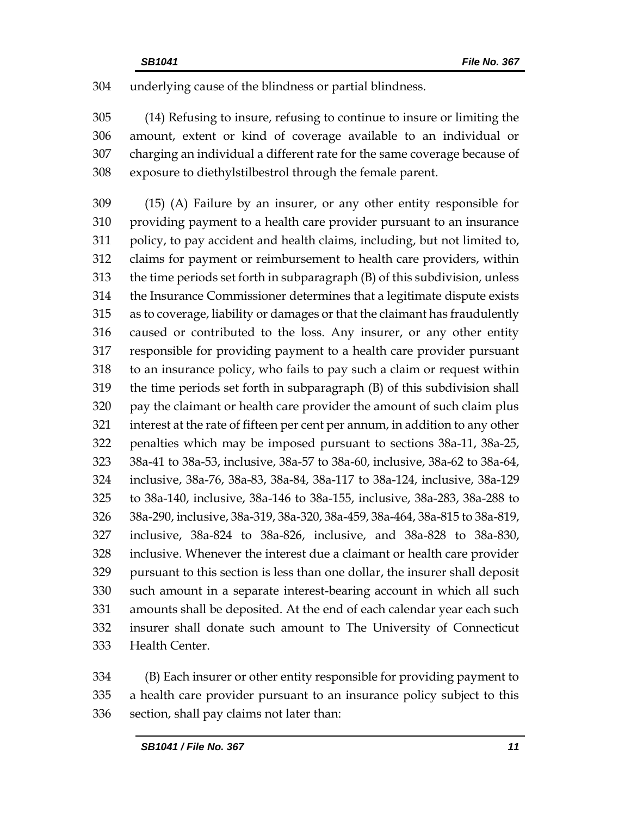underlying cause of the blindness or partial blindness.

 (14) Refusing to insure, refusing to continue to insure or limiting the amount, extent or kind of coverage available to an individual or charging an individual a different rate for the same coverage because of exposure to diethylstilbestrol through the female parent.

 (15) (A) Failure by an insurer, or any other entity responsible for providing payment to a health care provider pursuant to an insurance policy, to pay accident and health claims, including, but not limited to, claims for payment or reimbursement to health care providers, within the time periods set forth in subparagraph (B) of this subdivision, unless the Insurance Commissioner determines that a legitimate dispute exists as to coverage, liability or damages or that the claimant has fraudulently caused or contributed to the loss. Any insurer, or any other entity responsible for providing payment to a health care provider pursuant to an insurance policy, who fails to pay such a claim or request within the time periods set forth in subparagraph (B) of this subdivision shall pay the claimant or health care provider the amount of such claim plus interest at the rate of fifteen per cent per annum, in addition to any other penalties which may be imposed pursuant to sections 38a-11, 38a-25, 38a-41 to 38a-53, inclusive, 38a-57 to 38a-60, inclusive, 38a-62 to 38a-64, inclusive, 38a-76, 38a-83, 38a-84, 38a-117 to 38a-124, inclusive, 38a-129 to 38a-140, inclusive, 38a-146 to 38a-155, inclusive, 38a-283, 38a-288 to 38a-290, inclusive, 38a-319, 38a-320, 38a-459, 38a-464, 38a-815 to 38a-819, inclusive, 38a-824 to 38a-826, inclusive, and 38a-828 to 38a-830, inclusive. Whenever the interest due a claimant or health care provider pursuant to this section is less than one dollar, the insurer shall deposit such amount in a separate interest-bearing account in which all such amounts shall be deposited. At the end of each calendar year each such insurer shall donate such amount to The University of Connecticut Health Center.

 (B) Each insurer or other entity responsible for providing payment to a health care provider pursuant to an insurance policy subject to this section, shall pay claims not later than: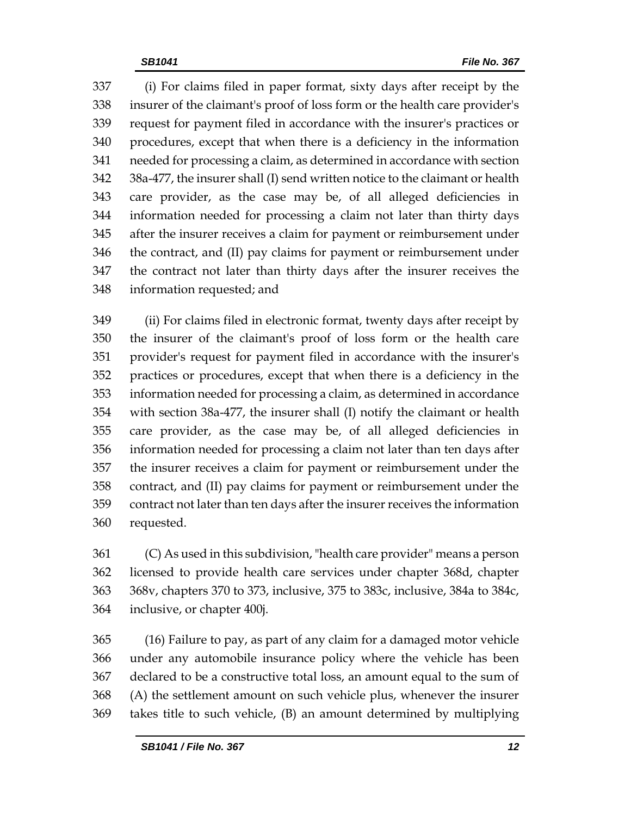(i) For claims filed in paper format, sixty days after receipt by the insurer of the claimant's proof of loss form or the health care provider's request for payment filed in accordance with the insurer's practices or procedures, except that when there is a deficiency in the information needed for processing a claim, as determined in accordance with section 38a-477, the insurer shall (I) send written notice to the claimant or health care provider, as the case may be, of all alleged deficiencies in information needed for processing a claim not later than thirty days after the insurer receives a claim for payment or reimbursement under the contract, and (II) pay claims for payment or reimbursement under the contract not later than thirty days after the insurer receives the information requested; and

 (ii) For claims filed in electronic format, twenty days after receipt by the insurer of the claimant's proof of loss form or the health care provider's request for payment filed in accordance with the insurer's practices or procedures, except that when there is a deficiency in the information needed for processing a claim, as determined in accordance with section 38a-477, the insurer shall (I) notify the claimant or health care provider, as the case may be, of all alleged deficiencies in information needed for processing a claim not later than ten days after the insurer receives a claim for payment or reimbursement under the contract, and (II) pay claims for payment or reimbursement under the contract not later than ten days after the insurer receives the information requested.

 (C) As used in this subdivision, "health care provider" means a person licensed to provide health care services under chapter 368d, chapter 368v, chapters 370 to 373, inclusive, 375 to 383c, inclusive, 384a to 384c, inclusive, or chapter 400j.

 (16) Failure to pay, as part of any claim for a damaged motor vehicle under any automobile insurance policy where the vehicle has been declared to be a constructive total loss, an amount equal to the sum of (A) the settlement amount on such vehicle plus, whenever the insurer takes title to such vehicle, (B) an amount determined by multiplying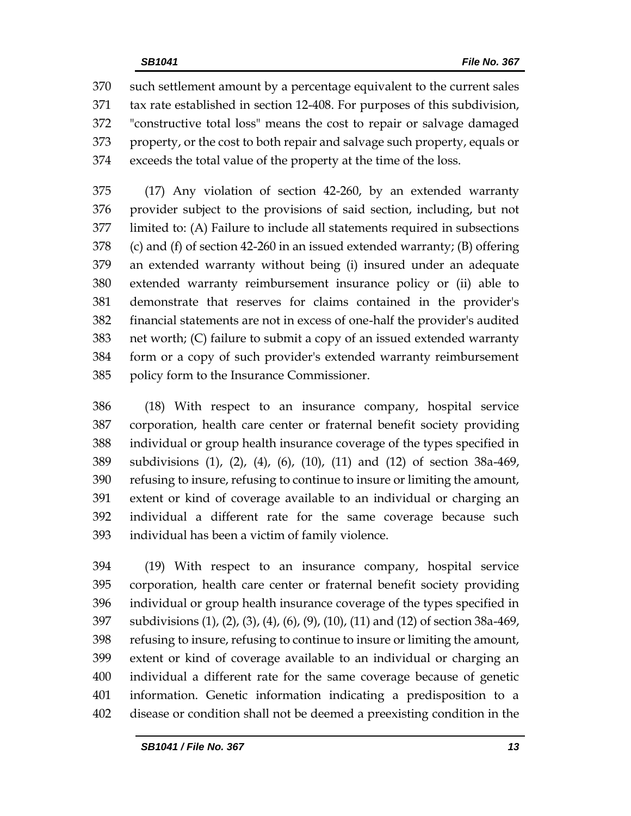such settlement amount by a percentage equivalent to the current sales tax rate established in section 12-408. For purposes of this subdivision, "constructive total loss" means the cost to repair or salvage damaged property, or the cost to both repair and salvage such property, equals or exceeds the total value of the property at the time of the loss.

 (17) Any violation of section 42-260, by an extended warranty provider subject to the provisions of said section, including, but not limited to: (A) Failure to include all statements required in subsections (c) and (f) of section 42-260 in an issued extended warranty; (B) offering an extended warranty without being (i) insured under an adequate extended warranty reimbursement insurance policy or (ii) able to demonstrate that reserves for claims contained in the provider's financial statements are not in excess of one-half the provider's audited net worth; (C) failure to submit a copy of an issued extended warranty form or a copy of such provider's extended warranty reimbursement policy form to the Insurance Commissioner.

 (18) With respect to an insurance company, hospital service corporation, health care center or fraternal benefit society providing individual or group health insurance coverage of the types specified in subdivisions (1), (2), (4), (6), (10), (11) and (12) of section 38a-469, refusing to insure, refusing to continue to insure or limiting the amount, extent or kind of coverage available to an individual or charging an individual a different rate for the same coverage because such individual has been a victim of family violence.

 (19) With respect to an insurance company, hospital service corporation, health care center or fraternal benefit society providing individual or group health insurance coverage of the types specified in subdivisions (1), (2), (3), (4), (6), (9), (10), (11) and (12) of section 38a-469, refusing to insure, refusing to continue to insure or limiting the amount, extent or kind of coverage available to an individual or charging an individual a different rate for the same coverage because of genetic information. Genetic information indicating a predisposition to a disease or condition shall not be deemed a preexisting condition in the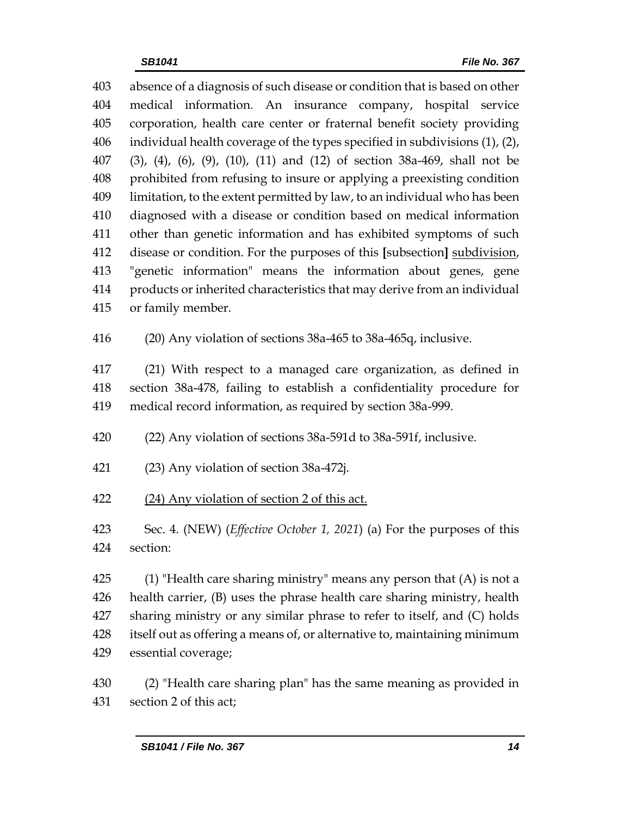absence of a diagnosis of such disease or condition that is based on other medical information. An insurance company, hospital service corporation, health care center or fraternal benefit society providing individual health coverage of the types specified in subdivisions (1), (2), (3), (4), (6), (9), (10), (11) and (12) of section 38a-469, shall not be prohibited from refusing to insure or applying a preexisting condition limitation, to the extent permitted by law, to an individual who has been diagnosed with a disease or condition based on medical information other than genetic information and has exhibited symptoms of such disease or condition. For the purposes of this **[**subsection**]** subdivision, "genetic information" means the information about genes, gene products or inherited characteristics that may derive from an individual or family member.

(20) Any violation of sections 38a-465 to 38a-465q, inclusive.

 (21) With respect to a managed care organization, as defined in section 38a-478, failing to establish a confidentiality procedure for medical record information, as required by section 38a-999.

- (22) Any violation of sections 38a-591d to 38a-591f, inclusive.
- (23) Any violation of section 38a-472j.
- (24) Any violation of section 2 of this act.

 Sec. 4. (NEW) (*Effective October 1, 2021*) (a) For the purposes of this section:

 $\qquad$  (1) "Health care sharing ministry" means any person that (A) is not a health carrier, (B) uses the phrase health care sharing ministry, health sharing ministry or any similar phrase to refer to itself, and (C) holds itself out as offering a means of, or alternative to, maintaining minimum essential coverage;

 (2) "Health care sharing plan" has the same meaning as provided in section 2 of this act;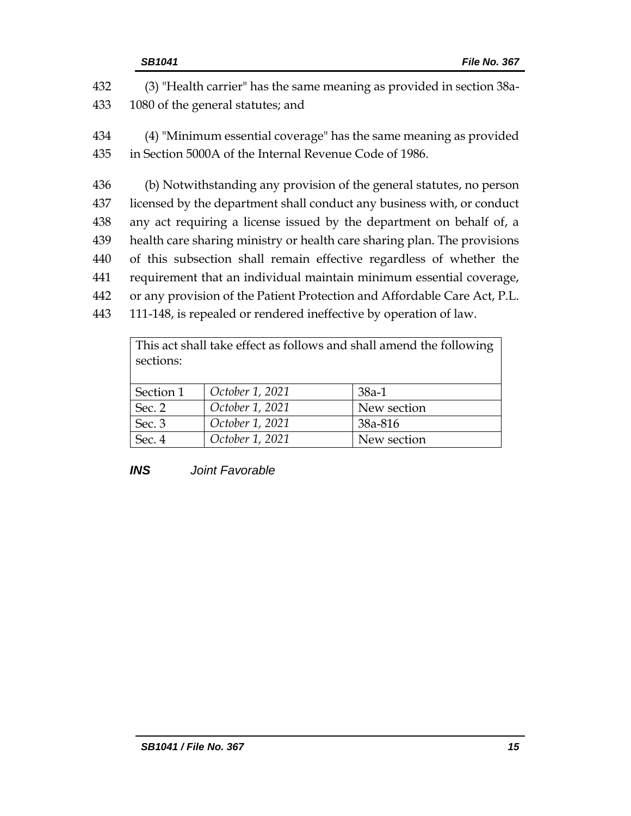| SB1041<br>File No. 367                                                   |
|--------------------------------------------------------------------------|
| (3) "Health carrier" has the same meaning as provided in section 38a-    |
| 1080 of the general statutes; and                                        |
| (4) "Minimum essential coverage" has the same meaning as provided        |
| in Section 5000A of the Internal Revenue Code of 1986.                   |
| (b) Notwithstanding any provision of the general statutes, no person     |
| licensed by the department shall conduct any business with, or conduct   |
| any act requiring a license issued by the department on behalf of, a     |
| health care sharing ministry or health care sharing plan. The provisions |
| of this subsection shall remain effective regardless of whether the      |
| requirement that an individual maintain minimum essential coverage,      |
| or any provision of the Patient Protection and Affordable Care Act, P.L. |
| 111-148, is repealed or rendered ineffective by operation of law.        |
|                                                                          |

| This act shall take effect as follows and shall amend the following |                 |             |  |  |  |  |  |
|---------------------------------------------------------------------|-----------------|-------------|--|--|--|--|--|
| sections:                                                           |                 |             |  |  |  |  |  |
|                                                                     |                 |             |  |  |  |  |  |
| Section 1                                                           | October 1, 2021 | $38a-1$     |  |  |  |  |  |
| Sec. 2                                                              | October 1, 2021 | New section |  |  |  |  |  |
| Sec. 3                                                              | October 1, 2021 | 38a-816     |  |  |  |  |  |
| Sec. 4                                                              | October 1, 2021 | New section |  |  |  |  |  |

*INS Joint Favorable*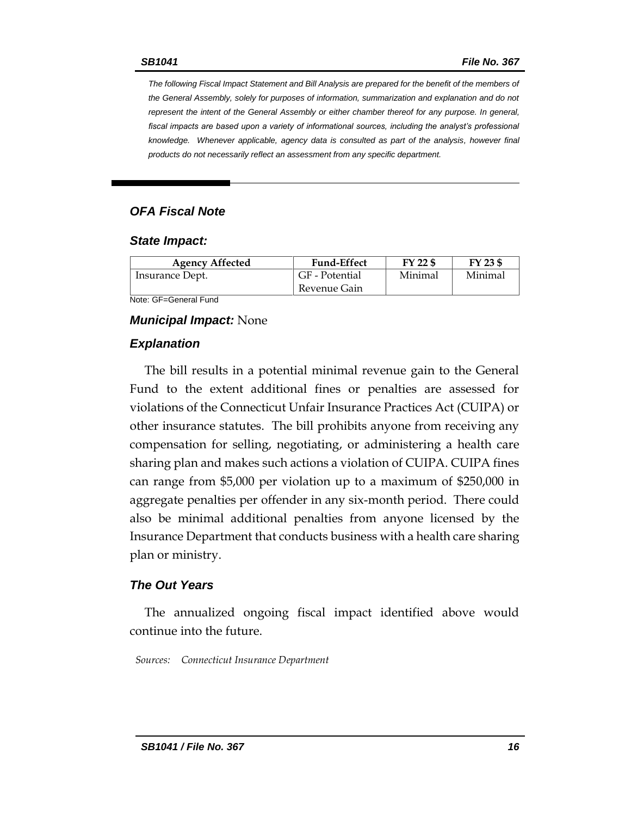*The following Fiscal Impact Statement and Bill Analysis are prepared for the benefit of the members of the General Assembly, solely for purposes of information, summarization and explanation and do not represent the intent of the General Assembly or either chamber thereof for any purpose. In general,*  fiscal impacts are based upon a variety of informational sources, including the analyst's professional *knowledge. Whenever applicable, agency data is consulted as part of the analysis, however final products do not necessarily reflect an assessment from any specific department.*

# *OFA Fiscal Note*

#### *State Impact:*

| <b>Agency Affected</b> | <b>Fund-Effect</b> | FY 22 \$ | FY 23 \$ |
|------------------------|--------------------|----------|----------|
| Insurance Dept.        | GF - Potential     | Minimal  | Minimal  |
|                        | Revenue Gain       |          |          |

Note: GF=General Fund

#### *Municipal Impact:* None

#### *Explanation*

The bill results in a potential minimal revenue gain to the General Fund to the extent additional fines or penalties are assessed for violations of the Connecticut Unfair Insurance Practices Act (CUIPA) or other insurance statutes. The bill prohibits anyone from receiving any compensation for selling, negotiating, or administering a health care sharing plan and makes such actions a violation of CUIPA. CUIPA fines can range from \$5,000 per violation up to a maximum of \$250,000 in aggregate penalties per offender in any six-month period. There could also be minimal additional penalties from anyone licensed by the Insurance Department that conducts business with a health care sharing plan or ministry.

### *The Out Years*

The annualized ongoing fiscal impact identified above would continue into the future.

*Sources: Connecticut Insurance Department*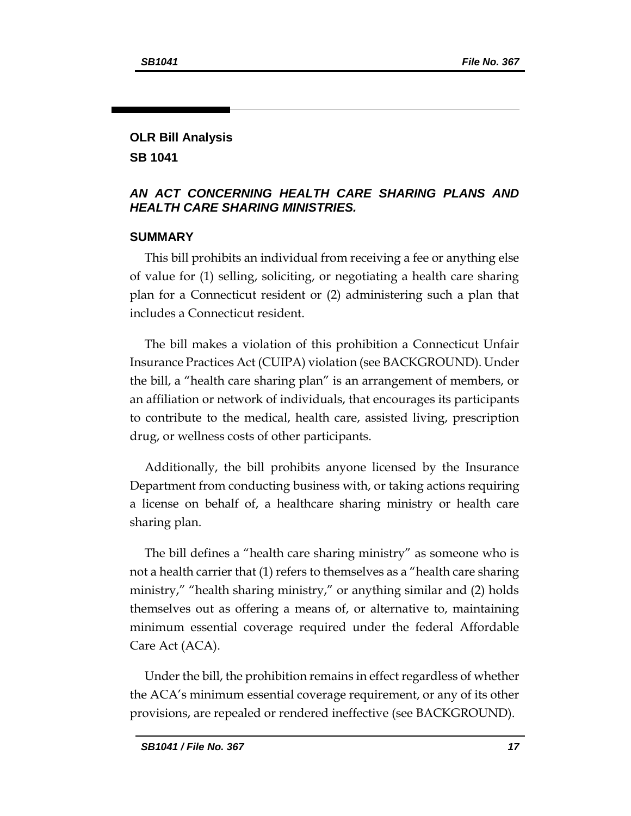# **OLR Bill Analysis SB 1041**

# *AN ACT CONCERNING HEALTH CARE SHARING PLANS AND HEALTH CARE SHARING MINISTRIES.*

# **SUMMARY**

This bill prohibits an individual from receiving a fee or anything else of value for (1) selling, soliciting, or negotiating a health care sharing plan for a Connecticut resident or (2) administering such a plan that includes a Connecticut resident.

The bill makes a violation of this prohibition a Connecticut Unfair Insurance Practices Act (CUIPA) violation (see BACKGROUND). Under the bill, a "health care sharing plan" is an arrangement of members, or an affiliation or network of individuals, that encourages its participants to contribute to the medical, health care, assisted living, prescription drug, or wellness costs of other participants.

Additionally, the bill prohibits anyone licensed by the Insurance Department from conducting business with, or taking actions requiring a license on behalf of, a healthcare sharing ministry or health care sharing plan.

The bill defines a "health care sharing ministry" as someone who is not a health carrier that (1) refers to themselves as a "health care sharing ministry," "health sharing ministry," or anything similar and (2) holds themselves out as offering a means of, or alternative to, maintaining minimum essential coverage required under the federal Affordable Care Act (ACA).

Under the bill, the prohibition remains in effect regardless of whether the ACA's minimum essential coverage requirement, or any of its other provisions, are repealed or rendered ineffective (see BACKGROUND).